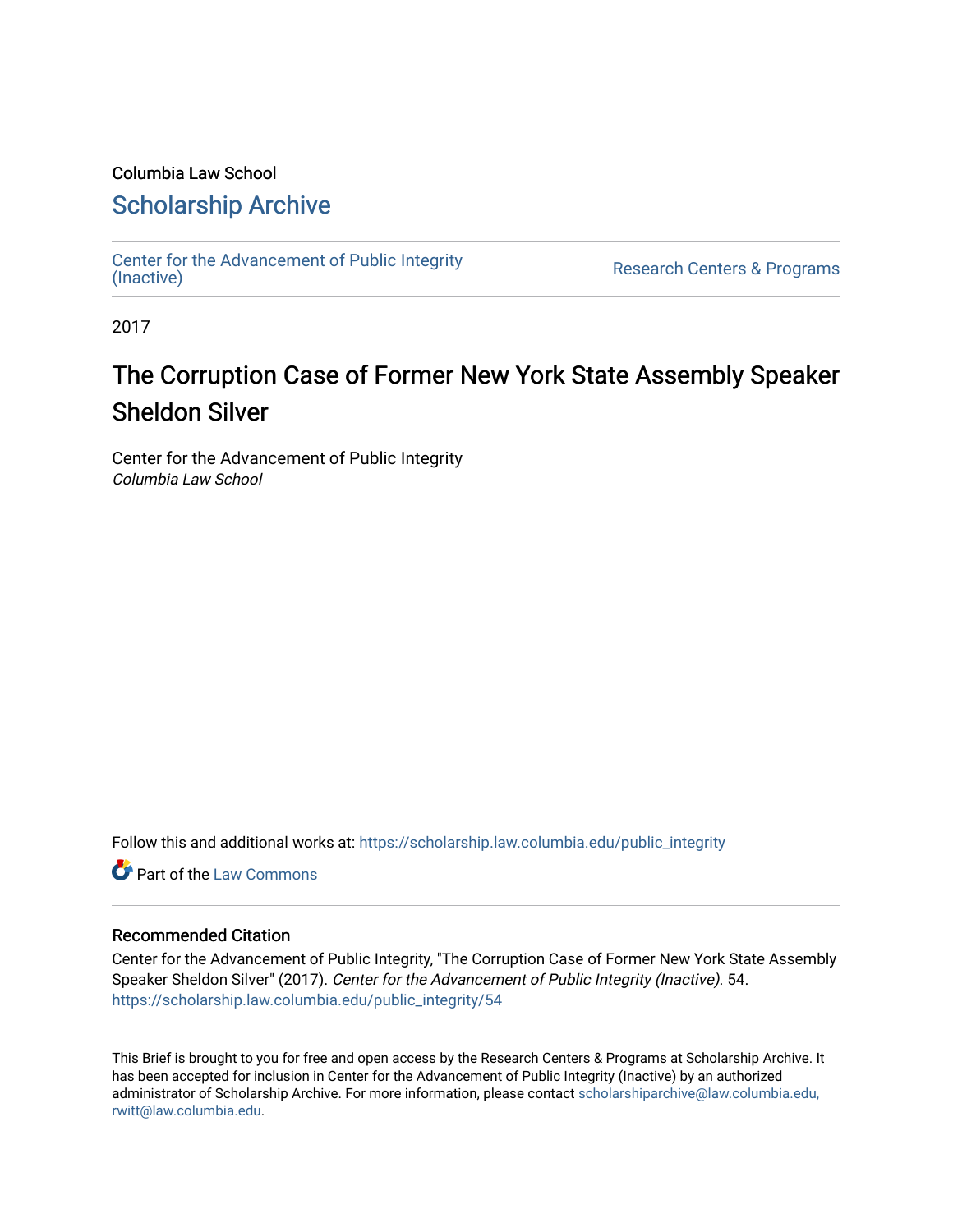### Columbia Law School

### [Scholarship Archive](https://scholarship.law.columbia.edu/)

[Center for the Advancement of Public Integrity](https://scholarship.law.columbia.edu/public_integrity)<br>(Inactive)

Research Centers & Programs

2017

## The Corruption Case of Former New York State Assembly Speaker Sheldon Silver

Center for the Advancement of Public Integrity Columbia Law School

Follow this and additional works at: [https://scholarship.law.columbia.edu/public\\_integrity](https://scholarship.law.columbia.edu/public_integrity?utm_source=scholarship.law.columbia.edu%2Fpublic_integrity%2F54&utm_medium=PDF&utm_campaign=PDFCoverPages)

**C** Part of the [Law Commons](http://network.bepress.com/hgg/discipline/578?utm_source=scholarship.law.columbia.edu%2Fpublic_integrity%2F54&utm_medium=PDF&utm_campaign=PDFCoverPages)

### Recommended Citation

Center for the Advancement of Public Integrity, "The Corruption Case of Former New York State Assembly Speaker Sheldon Silver" (2017). Center for the Advancement of Public Integrity (Inactive). 54. [https://scholarship.law.columbia.edu/public\\_integrity/54](https://scholarship.law.columbia.edu/public_integrity/54?utm_source=scholarship.law.columbia.edu%2Fpublic_integrity%2F54&utm_medium=PDF&utm_campaign=PDFCoverPages) 

This Brief is brought to you for free and open access by the Research Centers & Programs at Scholarship Archive. It has been accepted for inclusion in Center for the Advancement of Public Integrity (Inactive) by an authorized administrator of Scholarship Archive. For more information, please contact [scholarshiparchive@law.columbia.edu,](mailto:scholarshiparchive@law.columbia.edu,%20rwitt@law.columbia.edu)  [rwitt@law.columbia.edu.](mailto:scholarshiparchive@law.columbia.edu,%20rwitt@law.columbia.edu)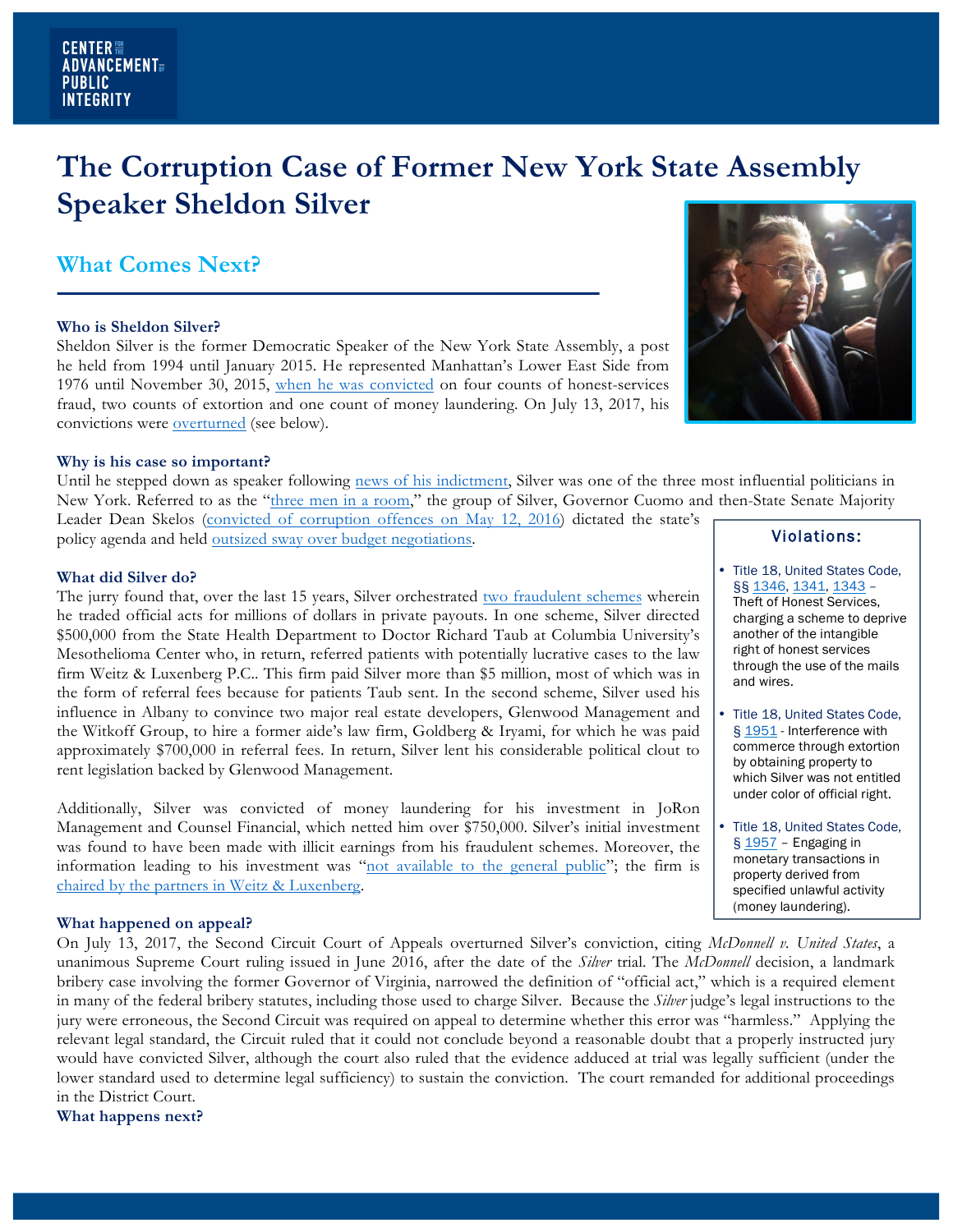# **The Corruption Case of Former New York State Assembly Speaker Sheldon Silver**

### **What Comes Next?**

#### **Who is Sheldon Silver?**

Sheldon Silver is the former Democratic Speaker of the New York State Assembly, a post he held from 1994 until January 2015. He represented Manhattan's Lower East Side from 1976 until November 30, 2015, when he was convicted on four counts of honest-services fraud, two counts of extortion and one count of money laundering. On July 13, 2017, his convictions were overturned (see below).



Until he stepped down as speaker following news of his indictment, Silver was one of the three most influential politicians in New York. Referred to as the "three men in a room," the group of Silver, Governor Cuomo and then-State Senate Majority

Leader Dean Skelos (convicted of corruption offences on May 12, 2016) dictated the state's policy agenda and held outsized sway over budget negotiations.

#### **What did Silver do?**

The jurry found that, over the last 15 years, Silver orchestrated two fraudulent schemes wherein he traded official acts for millions of dollars in private payouts. In one scheme, Silver directed \$500,000 from the State Health Department to Doctor Richard Taub at Columbia University's Mesothelioma Center who, in return, referred patients with potentially lucrative cases to the law firm Weitz & Luxenberg P.C.. This firm paid Silver more than \$5 million, most of which was in the form of referral fees because for patients Taub sent. In the second scheme, Silver used his influence in Albany to convince two major real estate developers, Glenwood Management and the Witkoff Group, to hire a former aide's law firm, Goldberg & Iryami, for which he was paid approximately \$700,000 in referral fees. In return, Silver lent his considerable political clout to rent legislation backed by Glenwood Management.

Additionally, Silver was convicted of money laundering for his investment in JoRon Management and Counsel Financial, which netted him over \$750,000. Silver's initial investment was found to have been made with illicit earnings from his fraudulent schemes. Moreover, the information leading to his investment was "not available to the general public"; the firm is chaired by the partners in Weitz & Luxenberg.

#### **What happened on appeal?**

On July 13, 2017, the Second Circuit Court of Appeals overturned Silver's conviction, citing *McDonnell v. United States*, a unanimous Supreme Court ruling issued in June 2016, after the date of the *Silver* trial. The *McDonnell* decision, a landmark bribery case involving the former Governor of Virginia, narrowed the definition of "official act," which is a required element in many of the federal bribery statutes, including those used to charge Silver. Because the *Silver* judge's legal instructions to the jury were erroneous, the Second Circuit was required on appeal to determine whether this error was "harmless." Applying the relevant legal standard, the Circuit ruled that it could not conclude beyond a reasonable doubt that a properly instructed jury would have convicted Silver, although the court also ruled that the evidence adduced at trial was legally sufficient (under the lower standard used to determine legal sufficiency) to sustain the conviction. The court remanded for additional proceedings in the District Court.

**What happens next?**



### Violations:

- Title 18, United States Code, §§ 1346, 1341, 1343 – Theft of Honest Services, charging a scheme to deprive another of the intangible right of honest services through the use of the mails and wires.
- Title 18, United States Code, § 1951 - Interference with commerce through extortion by obtaining property to which Silver was not entitled under color of official right.
- Title 18, United States Code,  $\S 1957$  – Engaging in monetary transactions in property derived from specified unlawful activity (money laundering).